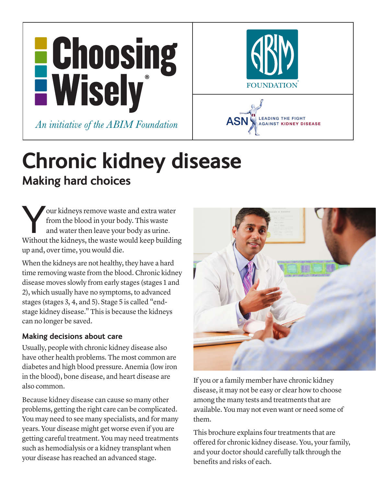



# **Chronic kidney disease Making hard choices**

Four kidneys remove waste and extra water<br>
from the blood in your body. This waste<br>
and water then leave your body as urine.<br>
Without the kidneys, the waste would keep building from the blood in your body. This waste and water then leave your body as urine. up and, over time, you would die.

When the kidneys are not healthy, they have a hard time removing waste from the blood. Chronic kidney disease moves slowly from early stages (stages 1 and 2), which usually have no symptoms, to advanced stages (stages 3, 4, and 5). Stage 5 is called "endstage kidney disease." This is because the kidneys can no longer be saved.

#### **Making decisions about care**

Usually, people with chronic kidney disease also have other health problems. The most common are diabetes and high blood pressure. Anemia (low iron in the blood), bone disease, and heart disease are also common.

Because kidney disease can cause so many other problems, getting the right care can be complicated. You may need to see many specialists, and for many years. Your disease might get worse even if you are getting careful treatment. You may need treatments such as hemodialysis or a kidney transplant when your disease has reached an advanced stage.



If you or a family member have chronic kidney disease, it may not be easy or clear how to choose among the many tests and treatments that are available. You may not even want or need some of them.

This brochure explains four treatments that are offered for chronic kidney disease. You, your family, and your doctor should carefully talk through the benefits and risks of each.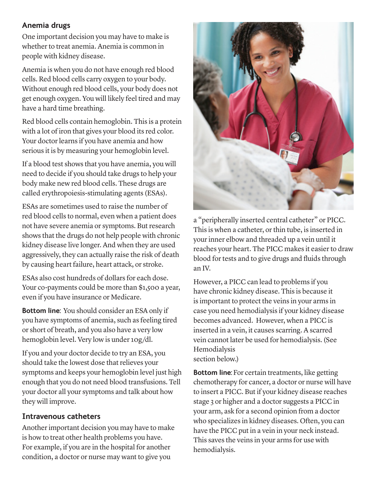### **Anemia drugs**

One important decision you may have to make is whether to treat anemia. Anemia is common in people with kidney disease.

Anemia is when you do not have enough red blood cells. Red blood cells carry oxygen to your body. Without enough red blood cells, your body does not get enough oxygen. You will likely feel tired and may have a hard time breathing.

Red blood cells contain hemoglobin. This is a protein with a lot of iron that gives your blood its red color. Your doctor learns if you have anemia and how serious it is by measuring your hemoglobin level.

If a blood test shows that you have anemia, you will need to decide if you should take drugs to help your body make new red blood cells. These drugs are called erythropoiesis-stimulating agents (ESAs).

ESAs are sometimes used to raise the number of red blood cells to normal, even when a patient does not have severe anemia or symptoms. But research shows that the drugs do not help people with chronic kidney disease live longer. And when they are used aggressively, they can actually raise the risk of death by causing heart failure, heart attack, or stroke.

ESAs also cost hundreds of dollars for each dose. Your co-payments could be more than \$1,500 a year, even if you have insurance or Medicare.

**Bottom line:** You should consider an ESA only if you have symptoms of anemia, such as feeling tired or short of breath, and you also have a very low hemoglobin level. Very low is under 10g/dl.

If you and your doctor decide to try an ESA, you should take the lowest dose that relieves your symptoms and keeps your hemoglobin level just high enough that you do not need blood transfusions. Tell your doctor all your symptoms and talk about how they will improve.

#### **Intravenous catheters**

Another important decision you may have to make is how to treat other health problems you have. For example, if you are in the hospital for another condition, a doctor or nurse may want to give you



a "peripherally inserted central catheter" or PICC. This is when a catheter, or thin tube, is inserted in your inner elbow and threaded up a vein until it reaches your heart. The PICC makes it easier to draw blood for tests and to give drugs and fluids through an IV.

However, a PICC can lead to problems if you have chronic kidney disease. This is because it is important to protect the veins in your arms in case you need hemodialysis if your kidney disease becomes advanced. However, when a PICC is inserted in a vein, it causes scarring. A scarred vein cannot later be used for hemodialysis. (See Hemodialysis section below.)

**Bottom line:**For certain treatments, like getting chemotherapy for cancer, a doctor or nurse will have to insert a PICC. But if your kidney disease reaches stage 3 or higher and a doctor suggests a PICC in your arm, ask for a second opinion from a doctor who specializes in kidney diseases. Often, you can have the PICC put in a vein in your neck instead. This saves the veins in your arms for use with hemodialysis.